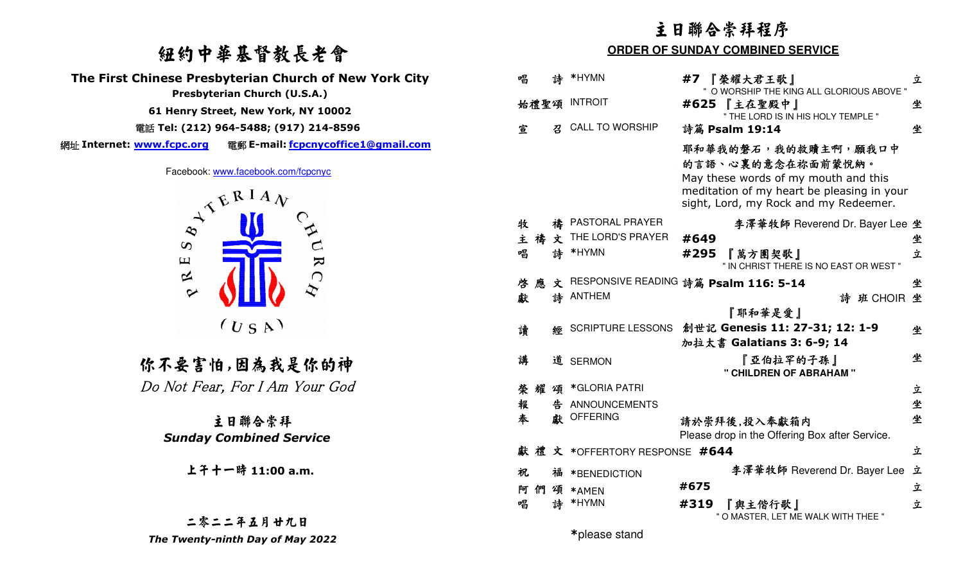## 紐約中華基督教長老會



|                                                                     | 主日聯合崇拜程序 |                                         |                                                   |      |                                                                                                 |   |  |  |
|---------------------------------------------------------------------|----------|-----------------------------------------|---------------------------------------------------|------|-------------------------------------------------------------------------------------------------|---|--|--|
| 纽约中華基督教長老會                                                          |          | <b>ORDER OF SUNDAY COMBINED SERVICE</b> |                                                   |      |                                                                                                 |   |  |  |
| The First Chinese Presbyterian Church of New York City              | 唱        | 詩                                       | *HYMN                                             | #7   | 『榮耀大君王歌』                                                                                        | 立 |  |  |
| Presbyterian Church (U.S.A.)<br>61 Henry Street, New York, NY 10002 |          |                                         | 始禮聖頌 INTROIT                                      |      | " O WORSHIP THE KING ALL GLORIOUS ABOVE '<br>#625 【主在聖殿中』<br>" THE LORD IS IN HIS HOLY TEMPLE " | 坐 |  |  |
| 電話 Tel: (212) 964-5488; (917) 214-8596                              | 宣        | 召                                       | <b>CALL TO WORSHIP</b>                            |      | 詩篇 Psalm 19:14                                                                                  | 坐 |  |  |
| 網址 Internet: www.fcpc.org<br>電郵 E-mail: fcpcnycoffice1@gmail.com    |          |                                         |                                                   |      | 耶和華我的磐石,我的救贖主啊,願我口中<br>的言語、心裏的意念在祢面前蒙悅納。                                                        |   |  |  |
| Facebook: www.facebook.com/fcpcnyc                                  |          |                                         |                                                   |      | May these words of my mouth and this                                                            |   |  |  |
| $\Lambda^{E^{RIA}A}$                                                |          |                                         |                                                   |      | meditation of my heart be pleasing in your<br>sight, Lord, my Rock and my Redeemer.             |   |  |  |
| $\phi$ <sup>+</sup>                                                 | 牧        |                                         | PASTORAL PRAYER                                   |      | 李澤華牧師 Reverend Dr. Bayer Lee 坐                                                                  |   |  |  |
| $\boldsymbol{\omega}$                                               | 主禱       | 文                                       | THE LORD'S PRAYER                                 | #649 |                                                                                                 | 坐 |  |  |
| $\overline{\mathbf{z}}$<br>$\Xi$                                    | 唱        | 詩                                       | *HYMN                                             | #295 | 『萬方團契歌』<br>" IN CHRIST THERE IS NO EAST OR WEST "                                               | 立 |  |  |
| $\approx$<br>$\sim$                                                 | 啓<br>獻   | 文                                       | RESPONSIVE READING 詩篇 Psalm 116: 5-14<br>詩 ANTHEM |      | 詩班CHOIR 坐                                                                                       | 坐 |  |  |
|                                                                     |          |                                         |                                                   |      | 『耶和華是愛』                                                                                         |   |  |  |
| (U S A)                                                             | 讀        | 經                                       | <b>SCRIPTURE LESSONS</b>                          |      | 創世記 Genesis 11: 27-31; 12: 1-9<br>加拉太書 Galatians 3: 6-9; 14                                     | 坐 |  |  |
| 你不要害怕,因為我是你的神                                                       | 講        |                                         | 道 SERMON                                          |      | 『亞伯拉罕的子孫』<br>" CHILDREN OF ABRAHAM "                                                            | 坐 |  |  |
| Do Not Fear, For I Am Your God                                      | 榮耀頌      |                                         | *GLORIA PATRI                                     |      |                                                                                                 | 立 |  |  |
|                                                                     | 報        | 告                                       | ANNOUNCEMENTS                                     |      |                                                                                                 | 坐 |  |  |
| 主日聯合崇拜                                                              | 奉        |                                         | 獻 OFFERING                                        |      | 請於崇拜後,投入奉獻箱内                                                                                    | 坐 |  |  |
| <b>Sunday Combined Service</b>                                      |          |                                         |                                                   |      | Please drop in the Offering Box after Service.                                                  |   |  |  |
|                                                                     |          |                                         | 獻禮文 *OFFERTORY RESPONSE #644                      |      |                                                                                                 | 立 |  |  |
| 上干十一時 11:00 a.m.                                                    | 祝        |                                         | 福 *BENEDICTION                                    |      | 李澤華牧師 Reverend Dr. Bayer Lee 立                                                                  |   |  |  |
|                                                                     |          |                                         | 阿們頌 *AMEN                                         | #675 |                                                                                                 | 立 |  |  |
|                                                                     | 唱        |                                         | 詩 *HYMN                                           | #319 | 『輿主偕行歌』<br>" O MASTER, LET ME WALK WITH THEE "                                                  | 立 |  |  |
| 二零二二年五月廿九日                                                          |          |                                         |                                                   |      |                                                                                                 |   |  |  |
| The Twenty-ninth Day of May 2022                                    |          |                                         | *please stand                                     |      |                                                                                                 |   |  |  |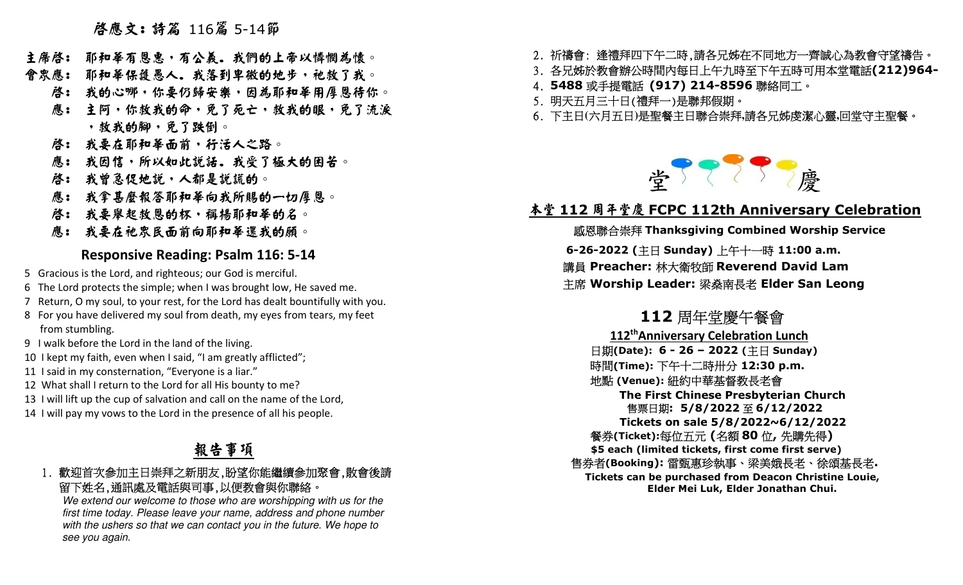# 啟應文: 詩篇 <sup>116</sup>篇 5-14<sup>節</sup>

- 主席啓: 耶和華有恩惠,有公義。我們的上帝以憐憫為懷。
- 會眾應: 耶和華保護愚人。我落到卑微的地步,祂救了我。
	- 啓: 我的心哪,你要仍歸安樂,因為耶和華用厚恩待你。
- 應: 主阿,你救我的命,免了死亡,救我的眼,免了流淚 ,救我的腳,免了跌倒。
- 啓: 我要在耶和華面前,行活人之路。
- 應: 我因信,所以如此說話.我受了極大的困苦。
	- 啓: 我曾急促地說,人都是說謊的。
- 應: 我拿甚麼報答耶和華向我所賜的一切厚恩。
	- 啓: 我要舉起救恩的杯,稱楊耶和華的名。
	- 應: 我要在祂眾民面前向耶和華還我的願。

### **Responsive Reading: Psalm 116: 5-14**

- 5 Gracious is the Lord, and righteous; our God is merciful.
- 6 The Lord protects the simple; when I was brought low, He saved me.
- 7 Return, O my soul, to your rest, for the Lord has dealt bountifully with you.
- 8 For you have delivered my soul from death, my eyes from tears, my feet from stumbling.
- 9 I walk before the Lord in the land of the living.
- 10 I kept my faith, even when I said, "I am greatly afflicted";
- 11 I said in my consternation, "Everyone is a liar."
- 12 What shall I return to the Lord for all His bounty to me?
- 13 I will lift up the cup of salvation and call on the name of the Lord,
- 14 I will pay my vows to the Lord in the presence of all his people.

## 報告事項

# 1. 歡迎首次參加主日崇拜之新朋友,盼望你能繼續參加聚會,散會後請<br>- 留下姓名,通訊處及電話與司事,以便教會與你聯絡。

We extend our welcome to those who are worshipping with us for the first time today. Please leave your name, address and phone number with the ushers so that we can contact you in the future. We hope to

- 
- 
- 
- 
- 



**等多年 取締事有意念。本会、政府的上等以降的具体。** 12、指令的大家的人。 12、指令:<br><br>
2. 在于2013年,1992年,1992年,1993年,1993年,1993年,1993年,1993年,1993年,1993年,1993年,1993年,1993年,1993年,1993年,1993年,1993年,1993年,1993年,1993年,1993年,1993年,1993年,1993年,1993年,1993年,1993年,199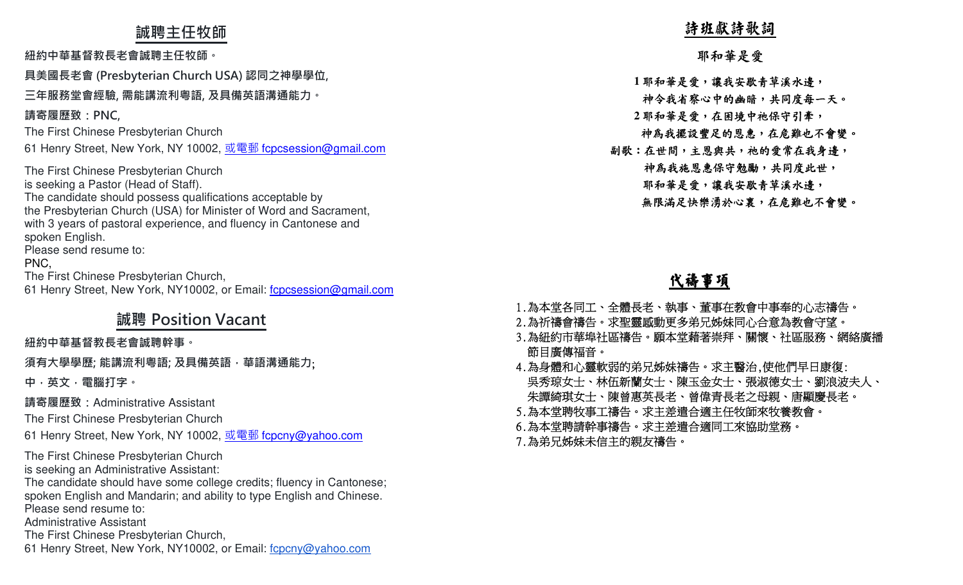### **誠聘主任牧師**

**紐約中華基督教⻑老會誠聘主任牧師。**

**具美國⻑老會 (Presbyterian Church USA) 認同之神學學位,** 

**三年服務堂會經驗, 需能講流利粵語, 及具備英語溝通能力。** 

**請寄履歷致:PNC,**

The First Chinese Presbyterian Church

61 Henry Street, New York, NY 10002, <u>或電郵 f<mark>cpcsession@gmail.com</mark></u>

The First Chinese Presbyterian Church is seeking a Pastor (Head of Staff). The candidate should possess qualifications acceptable by the Presbyterian Church (USA) for Minister of Word and Sacrament, with 3 years of pastoral experience, and fluency in Cantonese and spoken English. Please send resume to: PNC,

The First Chinese Presbyterian Church,

61 Henry Street, New York, NY10002, or Email: f**cpcsession@gmail.com** 

### **誠聘 Position Vacant**

**紐約中華基督教⻑老會誠聘幹事。**

**須有大學學歷; 能講流利粵語; 及具備英語,華語溝通能力**;

**中,英文,電腦打字。 請寄履歷致:**Administrative Assistant

The First Chinese Presbyterian Church

61 Henry Street, New York, NY 10002, <u>或電郵 f<mark>cpcny@yahoo.com</mark></u>

The First Chinese Presbyterian Churchis seeking an Administrative Assistant:

 The candidate should have some college credits; fluency in Cantonese; spoken English and Mandarin; and ability to type English and Chinese.Please send resume to:

Administrative Assistant

The First Chinese Presbyterian Church,

61 Henry Street, New York, NY10002, or Email: fcpcny@yahoo.com

### 詩班獻詩歌詞

#### 耶和華是愛

1 耶和華是愛,讓我安歇青草溪水邊, 神令我省察心中的幽暗,共同度每一天。2 耶和華是愛,在困境中祂保守引牽, 神為我擺設豐足的恩惠,在危難也不會變。副歌:在世間,主恩與共,祂的愛常在我身邊,神為我施恩惠保守勉勵,共同度此世, 耶和華是愛,讓我安歇青草溪水邊,無限滿足快樂湧於心裏,在危難也不會變。

### 代禱事項

- 1.為本堂各同工、全體長老、執事、董事在教會中事奉的心志禱告。
- 
- 
- 2.為祈禱會禱告。求聖靈感動更多弟兄姊妹同心合意為教會守望。<br>3.為紐約市華埠社區禱告。願本堂藉著崇拜、關懷、社區服務、網絡廣播(節目廣傳福音。<br>第日廣傳福音。<br>4.為身體和心靈軟弱的弟兄姊妹禱告。求主醫治,使他們早日康復:<br>吳秀琼女士、林伍新蘭女士、陳玉金女士、張淑德女士、劉浪波夫人<br>朱譚綺琪女士、陳曾惠英長老、曾偉青長老之母親、唐顯慶長老。<br>东譚綺琪女士、陳曾惠英長老、曾偉青長老之母親、唐顯慶長老。<br>5.為本堂聘請幹事禱告。求主差遣合
- 
- 
-